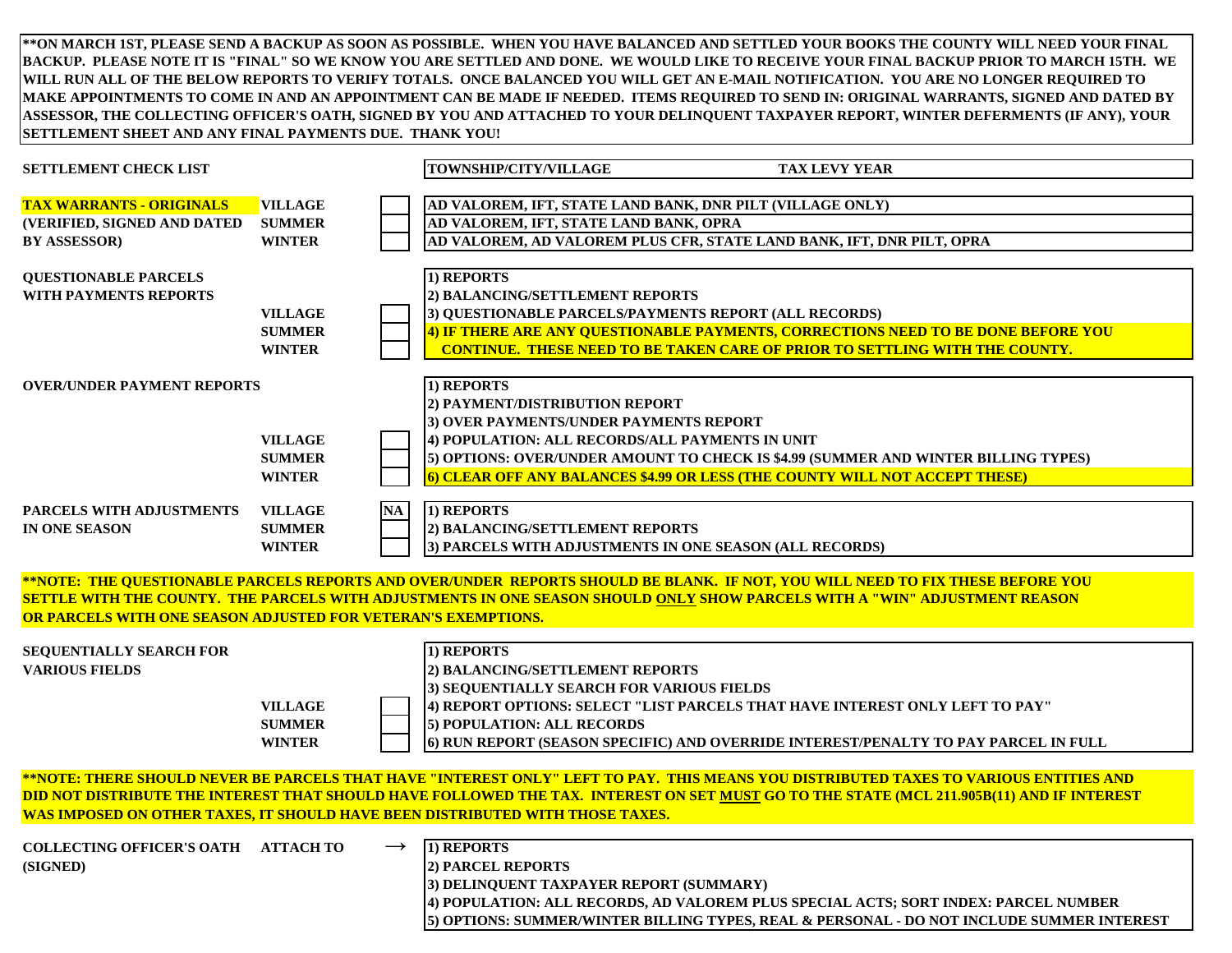**\*\*ON MARCH 1ST, PLEASE SEND A BACKUP AS SOON AS POSSIBLE. WHEN YOU HAVE BALANCED AND SETTLED YOUR BOOKS THE COUNTY WILL NEED YOUR FINAL BACKUP. PLEASE NOTE IT IS "FINAL" SO WE KNOW YOU ARE SETTLED AND DONE. WE WOULD LIKE TO RECEIVE YOUR FINAL BACKUP PRIOR TO MARCH 15TH. WE WILL RUN ALL OF THE BELOW REPORTS TO VERIFY TOTALS. ONCE BALANCED YOU WILL GET AN E-MAIL NOTIFICATION. YOU ARE NO LONGER REQUIRED TO MAKE APPOINTMENTS TO COME IN AND AN APPOINTMENT CAN BE MADE IF NEEDED. ITEMS REQUIRED TO SEND IN: ORIGINAL WARRANTS, SIGNED AND DATED BY ASSESSOR, THE COLLECTING OFFICER'S OATH, SIGNED BY YOU AND ATTACHED TO YOUR DELINQUENT TAXPAYER REPORT, WINTER DEFERMENTS (IF ANY), YOUR SETTLEMENT SHEET AND ANY FINAL PAYMENTS DUE. THANK YOU!**

| <b>SETTLEMENT CHECK LIST</b>                                                                                                                                                                                                                                                                                                                                               |                                                        | TOWNSHIP/CITY/VILLAGE<br><b>TAX LEVY YEAR</b>                                                                                                                                                                                                                                                                  |  |  |
|----------------------------------------------------------------------------------------------------------------------------------------------------------------------------------------------------------------------------------------------------------------------------------------------------------------------------------------------------------------------------|--------------------------------------------------------|----------------------------------------------------------------------------------------------------------------------------------------------------------------------------------------------------------------------------------------------------------------------------------------------------------------|--|--|
| <b>TAX WARRANTS - ORIGINALS</b><br>(VERIFIED, SIGNED AND DATED<br><b>BY ASSESSOR)</b>                                                                                                                                                                                                                                                                                      | <b>VILLAGE</b><br><b>SUMMER</b><br><b>WINTER</b>       | AD VALOREM, IFT, STATE LAND BANK, DNR PILT (VILLAGE ONLY)<br>AD VALOREM, IFT, STATE LAND BANK, OPRA<br>AD VALOREM, AD VALOREM PLUS CFR, STATE LAND BANK, IFT, DNR PILT, OPRA                                                                                                                                   |  |  |
| <b>QUESTIONABLE PARCELS</b><br><b>WITH PAYMENTS REPORTS</b>                                                                                                                                                                                                                                                                                                                | <b>VILLAGE</b><br><b>SUMMER</b><br><b>WINTER</b>       | 1) REPORTS<br>2) BALANCING/SETTLEMENT REPORTS<br>3) QUESTIONABLE PARCELS/PAYMENTS REPORT (ALL RECORDS)<br>4) IF THERE ARE ANY QUESTIONABLE PAYMENTS, CORRECTIONS NEED TO BE DONE BEFORE YOU<br><b>CONTINUE. THESE NEED TO BE TAKEN CARE OF PRIOR TO SETTLING WITH THE COUNTY.</b>                              |  |  |
| <b>OVER/UNDER PAYMENT REPORTS</b>                                                                                                                                                                                                                                                                                                                                          | <b>VILLAGE</b><br><b>SUMMER</b><br><b>WINTER</b>       | 1) REPORTS<br>2) PAYMENT/DISTRIBUTION REPORT<br>3) OVER PAYMENTS/UNDER PAYMENTS REPORT<br>4) POPULATION: ALL RECORDS/ALL PAYMENTS IN UNIT<br>5) OPTIONS: OVER/UNDER AMOUNT TO CHECK IS \$4.99 (SUMMER AND WINTER BILLING TYPES)<br>6) CLEAR OFF ANY BALANCES \$4.99 OR LESS (THE COUNTY WILL NOT ACCEPT THESE) |  |  |
| PARCELS WITH ADJUSTMENTS<br>IN ONE SEASON                                                                                                                                                                                                                                                                                                                                  | NA<br><b>VILLAGE</b><br><b>SUMMER</b><br><b>WINTER</b> | 1) REPORTS<br>2) BALANCING/SETTLEMENT REPORTS<br>3) PARCELS WITH ADJUSTMENTS IN ONE SEASON (ALL RECORDS)                                                                                                                                                                                                       |  |  |
| **NOTE: THE QUESTIONABLE PARCELS REPORTS AND OVER/UNDER REPORTS SHOULD BE BLANK. IF NOT, YOU WILL NEED TO FIX THESE BEFORE YOU<br>SETTLE WITH THE COUNTY. THE PARCELS WITH ADJUSTMENTS IN ONE SEASON SHOULD ONLY SHOW PARCELS WITH A "WIN" ADJUSTMENT REASON<br>OR PARCELS WITH ONE SEASON ADJUSTED FOR VETERAN'S EXEMPTIONS.                                              |                                                        |                                                                                                                                                                                                                                                                                                                |  |  |
| <b>SEQUENTIALLY SEARCH FOR</b><br><b>VARIOUS FIELDS</b>                                                                                                                                                                                                                                                                                                                    | <b>VILLAGE</b><br><b>SUMMER</b><br><b>WINTER</b>       | 1) REPORTS<br>2) BALANCING/SETTLEMENT REPORTS<br>3) SEQUENTIALLY SEARCH FOR VARIOUS FIELDS<br>4) REPORT OPTIONS: SELECT "LIST PARCELS THAT HAVE INTEREST ONLY LEFT TO PAY"<br>5) POPULATION: ALL RECORDS<br>6) RUN REPORT (SEASON SPECIFIC) AND OVERRIDE INTEREST/PENALTY TO PAY PARCEL IN FULL                |  |  |
| <u>**NOTE: THERE SHOULD NEVER BE PARCELS THAT HAVE "INTEREST ONLY" LEFT TO PAY. THIS MEANS YOU DISTRIBUTED TAXES TO VARIOUS ENTITIES AND</u><br>DID NOT DISTRIBUTE THE INTEREST THAT SHOULD HAVE FOLLOWED THE TAX. INTEREST ON SET MUST GO TO THE STATE (MCL 211.905B(11) AND IF INTEREST<br>WAS IMPOSED ON OTHER TAXES, IT SHOULD HAVE BEEN DISTRIBUTED WITH THOSE TAXES. |                                                        |                                                                                                                                                                                                                                                                                                                |  |  |
| COLLECTING OFFICER'S OATH ATTACH TO<br>(SIGNED)                                                                                                                                                                                                                                                                                                                            | $\rightarrow$                                          | 1) REPORTS<br>2) PARCEL REPORTS<br>3) DELINQUENT TAXPAYER REPORT (SUMMARY)<br>4) POPULATION: ALL RECORDS, AD VALOREM PLUS SPECIAL ACTS; SORT INDEX: PARCEL NUMBER<br>5) OPTIONS: SUMMER/WINTER BILLING TYPES, REAL & PERSONAL - DO NOT INCLUDE SUMMER INTEREST                                                 |  |  |